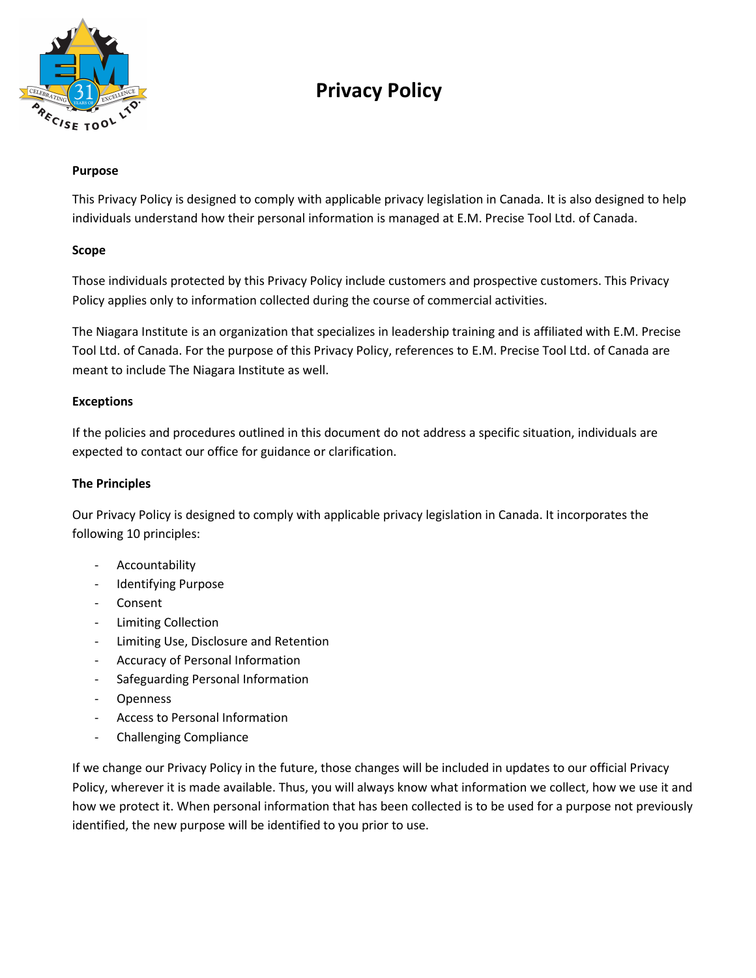

# **Privacy Policy**

## **Purpose**

This Privacy Policy is designed to comply with applicable privacy legislation in Canada. It is also designed to help individuals understand how their personal information is managed at E.M. Precise Tool Ltd. of Canada.

#### **Scope**

Those individuals protected by this Privacy Policy include customers and prospective customers. This Privacy Policy applies only to information collected during the course of commercial activities.

The Niagara Institute is an organization that specializes in leadership training and is affiliated with E.M. Precise Tool Ltd. of Canada. For the purpose of this Privacy Policy, references to E.M. Precise Tool Ltd. of Canada are meant to include The Niagara Institute as well.

## **Exceptions**

If the policies and procedures outlined in this document do not address a specific situation, individuals are expected to contact our office for guidance or clarification.

## **The Principles**

Our Privacy Policy is designed to comply with applicable privacy legislation in Canada. It incorporates the following 10 principles:

- Accountability
- Identifying Purpose
- **Consent**
- Limiting Collection
- Limiting Use, Disclosure and Retention
- Accuracy of Personal Information
- Safeguarding Personal Information
- Openness
- Access to Personal Information
- Challenging Compliance

If we change our Privacy Policy in the future, those changes will be included in updates to our official Privacy Policy, wherever it is made available. Thus, you will always know what information we collect, how we use it and how we protect it. When personal information that has been collected is to be used for a purpose not previously identified, the new purpose will be identified to you prior to use.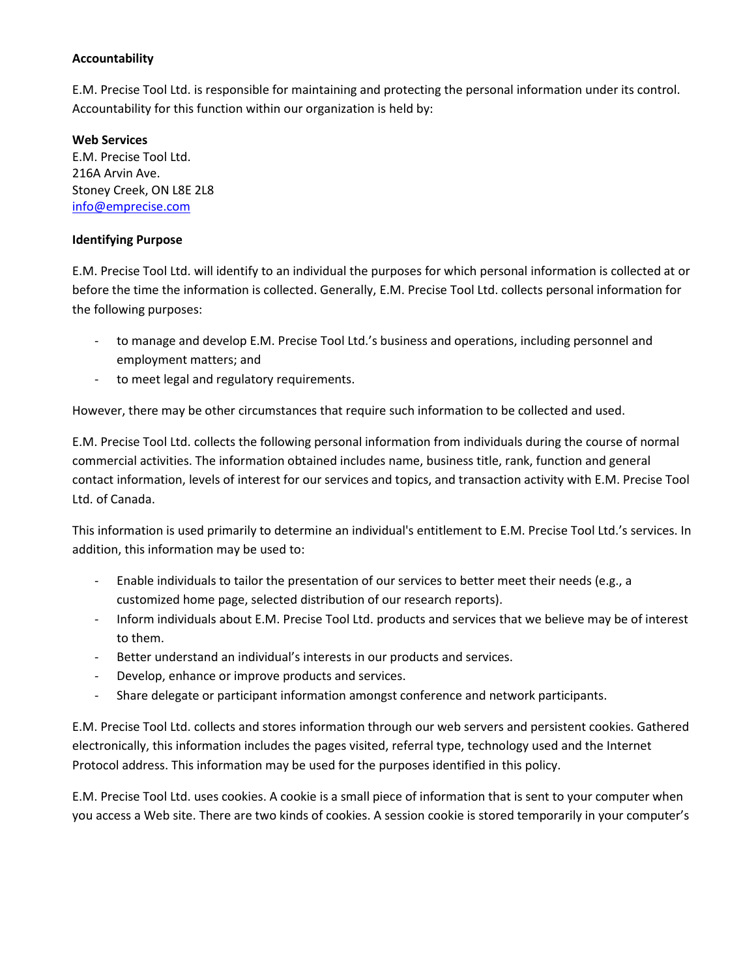## **Accountability**

E.M. Precise Tool Ltd. is responsible for maintaining and protecting the personal information under its control. Accountability for this function within our organization is held by:

#### **Web Services**

E.M. Precise Tool Ltd. 216A Arvin Ave. Stoney Creek, ON L8E 2L8 [info@emprecise.com](mailto:info@emprecise.com)

#### **Identifying Purpose**

E.M. Precise Tool Ltd. will identify to an individual the purposes for which personal information is collected at or before the time the information is collected. Generally, E.M. Precise Tool Ltd. collects personal information for the following purposes:

- to manage and develop E.M. Precise Tool Ltd.'s business and operations, including personnel and employment matters; and
- to meet legal and regulatory requirements.

However, there may be other circumstances that require such information to be collected and used.

E.M. Precise Tool Ltd. collects the following personal information from individuals during the course of normal commercial activities. The information obtained includes name, business title, rank, function and general contact information, levels of interest for our services and topics, and transaction activity with E.M. Precise Tool Ltd. of Canada.

This information is used primarily to determine an individual's entitlement to E.M. Precise Tool Ltd.'s services. In addition, this information may be used to:

- Enable individuals to tailor the presentation of our services to better meet their needs (e.g., a customized home page, selected distribution of our research reports).
- Inform individuals about E.M. Precise Tool Ltd. products and services that we believe may be of interest to them.
- Better understand an individual's interests in our products and services.
- Develop, enhance or improve products and services.
- Share delegate or participant information amongst conference and network participants.

E.M. Precise Tool Ltd. collects and stores information through our web servers and persistent cookies. Gathered electronically, this information includes the pages visited, referral type, technology used and the Internet Protocol address. This information may be used for the purposes identified in this policy.

E.M. Precise Tool Ltd. uses cookies. A cookie is a small piece of information that is sent to your computer when you access a Web site. There are two kinds of cookies. A session cookie is stored temporarily in your computer's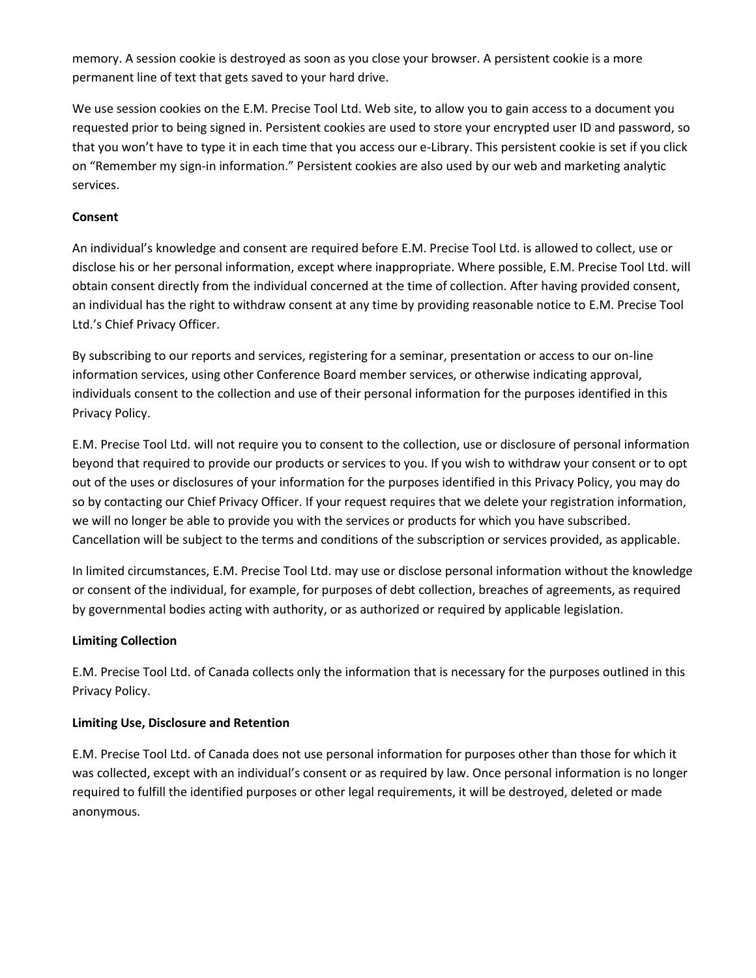memory. A session cookie is destroyed as soon as you close your browser. A persistent cookie is a more permanent line of text that gets saved to your hard drive.

We use session cookies on the E.M. Precise Tool Ltd. Web site, to allow you to gain access to a document you requested prior to being signed in. Persistent cookies are used to store your encrypted user ID and password, so that you won't have to type it in each time that you access our e-Library. This persistent cookie is set if you click on "Remember my sign-in information." Persistent cookies are also used by our web and marketing analytic services.

# **Consent**

An individual's knowledge and consent are required before E.M. Precise Tool Ltd. is allowed to collect, use or disclose his or her personal information, except where inappropriate. Where possible, E.M. Precise Tool Ltd. will obtain consent directly from the individual concerned at the time of collection. After having provided consent, an individual has the right to withdraw consent at any time by providing reasonable notice to E.M. Precise Tool Ltd.'s Chief Privacy Officer.

By subscribing to our reports and services, registering for a seminar, presentation or access to our on-line information services, using other Conference Board member services, or otherwise indicating approval, individuals consent to the collection and use of their personal information for the purposes identified in this Privacy Policy.

E.M. Precise Tool Ltd. will not require you to consent to the collection, use or disclosure of personal information beyond that required to provide our products or services to you. If you wish to withdraw your consent or to opt out of the uses or disclosures of your information for the purposes identified in this Privacy Policy, you may do so by contacting our Chief Privacy Officer. If your request requires that we delete your registration information, we will no longer be able to provide you with the services or products for which you have subscribed. Cancellation will be subject to the terms and conditions of the subscription or services provided, as applicable.

In limited circumstances, E.M. Precise Tool Ltd. may use or disclose personal information without the knowledge or consent of the individual, for example, for purposes of debt collection, breaches of agreements, as required by governmental bodies acting with authority, or as authorized or required by applicable legislation.

# **Limiting Collection**

E.M. Precise Tool Ltd. of Canada collects only the information that is necessary for the purposes outlined in this Privacy Policy.

# **Limiting Use, Disclosure and Retention**

E.M. Precise Tool Ltd. of Canada does not use personal information for purposes other than those for which it was collected, except with an individual's consent or as required by law. Once personal information is no longer required to fulfill the identified purposes or other legal requirements, it will be destroyed, deleted or made anonymous.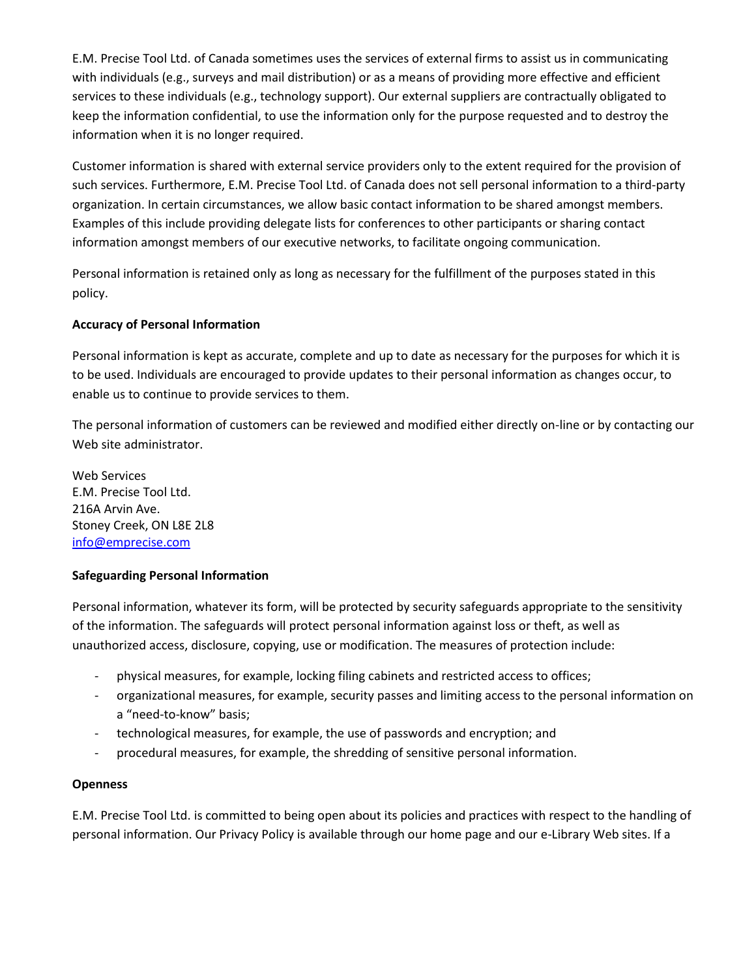E.M. Precise Tool Ltd. of Canada sometimes uses the services of external firms to assist us in communicating with individuals (e.g., surveys and mail distribution) or as a means of providing more effective and efficient services to these individuals (e.g., technology support). Our external suppliers are contractually obligated to keep the information confidential, to use the information only for the purpose requested and to destroy the information when it is no longer required.

Customer information is shared with external service providers only to the extent required for the provision of such services. Furthermore, E.M. Precise Tool Ltd. of Canada does not sell personal information to a third-party organization. In certain circumstances, we allow basic contact information to be shared amongst members. Examples of this include providing delegate lists for conferences to other participants or sharing contact information amongst members of our executive networks, to facilitate ongoing communication.

Personal information is retained only as long as necessary for the fulfillment of the purposes stated in this policy.

# **Accuracy of Personal Information**

Personal information is kept as accurate, complete and up to date as necessary for the purposes for which it is to be used. Individuals are encouraged to provide updates to their personal information as changes occur, to enable us to continue to provide services to them.

The personal information of customers can be reviewed and modified either directly on-line or by contacting our Web site administrator.

Web Services E.M. Precise Tool Ltd. 216A Arvin Ave. Stoney Creek, ON L8E 2L8 [info@emprecise.com](mailto:contactcboc@conferenceboard.ca)

#### **Safeguarding Personal Information**

Personal information, whatever its form, will be protected by security safeguards appropriate to the sensitivity of the information. The safeguards will protect personal information against loss or theft, as well as unauthorized access, disclosure, copying, use or modification. The measures of protection include:

- physical measures, for example, locking filing cabinets and restricted access to offices;
- organizational measures, for example, security passes and limiting access to the personal information on a "need-to-know" basis;
- technological measures, for example, the use of passwords and encryption; and
- procedural measures, for example, the shredding of sensitive personal information.

#### **Openness**

E.M. Precise Tool Ltd. is committed to being open about its policies and practices with respect to the handling of personal information. Our Privacy Policy is available through our home page and our e-Library Web sites. If a